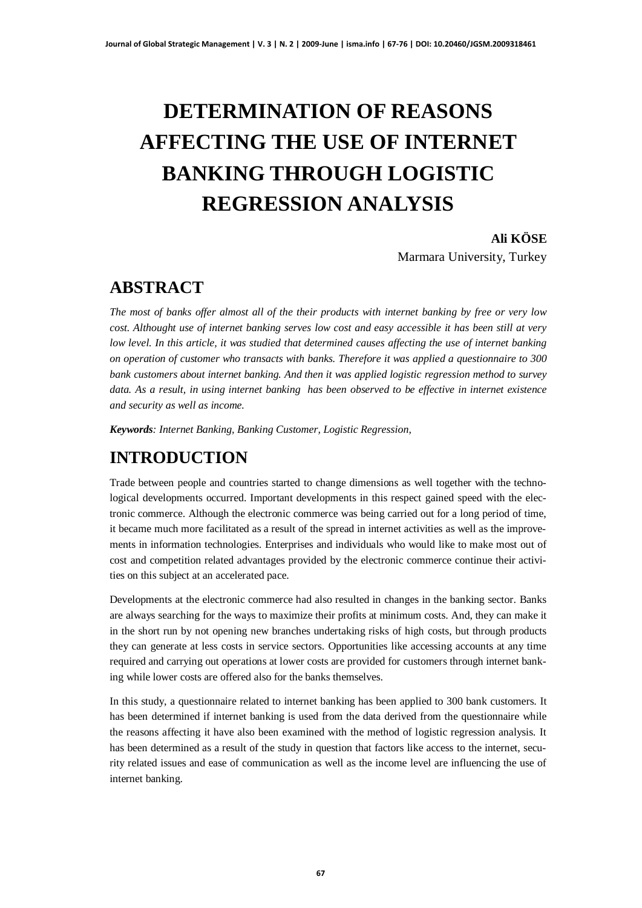# **DETERMINATION OF REASONS AFFECTING THE USE OF INTERNET BANKING THROUGH LOGISTIC REGRESSION ANALYSIS**

**Ali KÖSE**

Marmara University, Turkey

#### **ABSTRACT**

*The most of banks offer almost all of the their products with internet banking by free or very low cost. Althought use of internet banking serves low cost and easy accessible it has been still at very low level. In this article, it was studied that determined causes affecting the use of internet banking on operation of customer who transacts with banks. Therefore it was applied a questionnaire to 300 bank customers about internet banking. And then it was applied logistic regression method to survey data. As a result, in using internet banking has been observed to be effective in internet existence and security as well as income.*

*Keywords: Internet Banking, Banking Customer, Logistic Regression,*

## **INTRODUCTION**

Trade between people and countries started to change dimensions as well together with the technological developments occurred. Important developments in this respect gained speed with the electronic commerce. Although the electronic commerce was being carried out for a long period of time, it became much more facilitated as a result of the spread in internet activities as well as the improvements in information technologies. Enterprises and individuals who would like to make most out of cost and competition related advantages provided by the electronic commerce continue their activities on this subject at an accelerated pace.

Developments at the electronic commerce had also resulted in changes in the banking sector. Banks are always searching for the ways to maximize their profits at minimum costs. And, they can make it in the short run by not opening new branches undertaking risks of high costs, but through products they can generate at less costs in service sectors. Opportunities like accessing accounts at any time required and carrying out operations at lower costs are provided for customers through internet banking while lower costs are offered also for the banks themselves.

In this study, a questionnaire related to internet banking has been applied to 300 bank customers. It has been determined if internet banking is used from the data derived from the questionnaire while the reasons affecting it have also been examined with the method of logistic regression analysis. It has been determined as a result of the study in question that factors like access to the internet, security related issues and ease of communication as well as the income level are influencing the use of internet banking.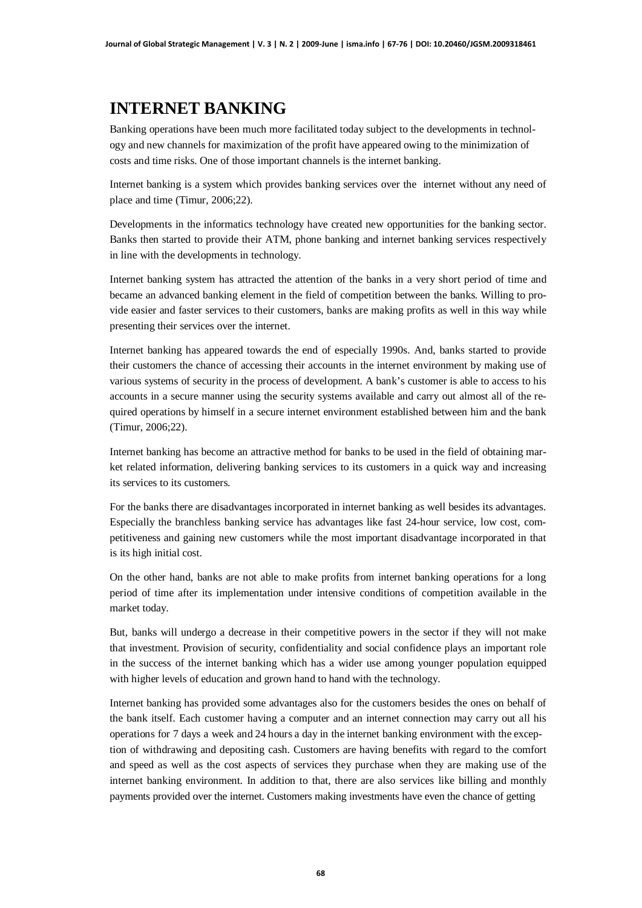# **INTERNET BANKING**

Banking operations have been much more facilitated today subject to the developments in technology and new channels for maximization of the profit have appeared owing to the minimization of costs and time risks. One of those important channels is the internet banking.

Internet banking is a system which provides banking services over the internet without any need of place and time (Timur, 2006;22).

Developments in the informatics technology have created new opportunities for the banking sector. Banks then started to provide their ATM, phone banking and internet banking services respectively in line with the developments in technology.

Internet banking system has attracted the attention of the banks in a very short period of time and became an advanced banking element in the field of competition between the banks. Willing to provide easier and faster services to their customers, banks are making profits as well in this way while presenting their services over the internet.

Internet banking has appeared towards the end of especially 1990s. And, banks started to provide their customers the chance of accessing their accounts in the internet environment by making use of various systems of security in the process of development. A bank's customer is able to access to his accounts in a secure manner using the security systems available and carry out almost all of the required operations by himself in a secure internet environment established between him and the bank (Timur, 2006;22).

Internet banking has become an attractive method for banks to be used in the field of obtaining market related information, delivering banking services to its customers in a quick way and increasing its services to its customers.

For the banks there are disadvantages incorporated in internet banking as well besides its advantages. Especially the branchless banking service has advantages like fast 24-hour service, low cost, competitiveness and gaining new customers while the most important disadvantage incorporated in that is its high initial cost.

On the other hand, banks are not able to make profits from internet banking operations for a long period of time after its implementation under intensive conditions of competition available in the market today.

But, banks will undergo a decrease in their competitive powers in the sector if they will not make that investment. Provision of security, confidentiality and social confidence plays an important role in the success of the internet banking which has a wider use among younger population equipped with higher levels of education and grown hand to hand with the technology.

Internet banking has provided some advantages also for the customers besides the ones on behalf of the bank itself. Each customer having a computer and an internet connection may carry out all his operations for 7 days a week and 24 hours a day in the internet banking environment with the exception of withdrawing and depositing cash. Customers are having benefits with regard to the comfort and speed as well as the cost aspects of services they purchase when they are making use of the internet banking environment. In addition to that, there are also services like billing and monthly payments provided over the internet. Customers making investments have even the chance of getting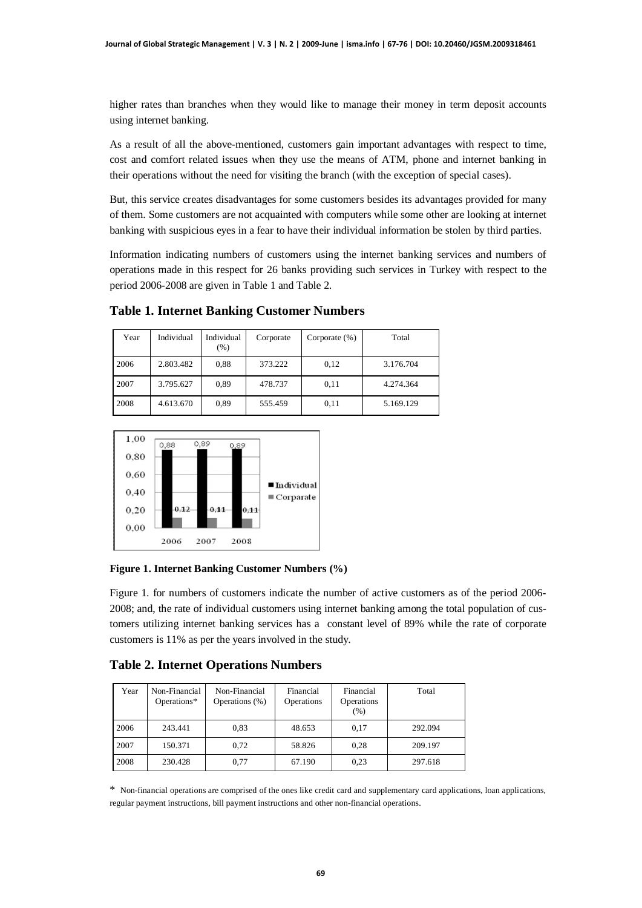higher rates than branches when they would like to manage their money in term deposit accounts using internet banking.

As a result of all the above-mentioned, customers gain important advantages with respect to time, cost and comfort related issues when they use the means of ATM, phone and internet banking in their operations without the need for visiting the branch (with the exception of special cases).

But, this service creates disadvantages for some customers besides its advantages provided for many of them. Some customers are not acquainted with computers while some other are looking at internet banking with suspicious eyes in a fear to have their individual information be stolen by third parties.

Information indicating numbers of customers using the internet banking services and numbers of operations made in this respect for 26 banks providing such services in Turkey with respect to the period 2006-2008 are given in Table 1 and Table 2.

| Year | Individual | Individual<br>$(\%)$ | Corporate | Corporate $(\% )$ | Total     |
|------|------------|----------------------|-----------|-------------------|-----------|
| 2006 | 2.803.482  | 0.88                 | 373.222   | 0,12              | 3.176.704 |
| 2007 | 3.795.627  | 0.89                 | 478.737   | 0,11              | 4.274.364 |
| 2008 | 4.613.670  | 0.89                 | 555.459   | 0,11              | 5.169.129 |

**Table 1. Internet Banking Customer Numbers**



**Figure 1. Internet Banking Customer Numbers (%)**

Figure 1. for numbers of customers indicate the number of active customers as of the period 2006- 2008; and, the rate of individual customers using internet banking among the total population of customers utilizing internet banking services has a constant level of 89% while the rate of corporate customers is 11% as per the years involved in the study.

**Table 2. Internet Operations Numbers**

| Year | Non-Financial<br>Operations* | Non-Financial<br>Operations (%) | Financial<br>Operations | Financial<br>Operations<br>(% ) | Total   |
|------|------------------------------|---------------------------------|-------------------------|---------------------------------|---------|
| 2006 | 243.441                      | 0.83                            | 48.653                  | 0,17                            | 292.094 |
| 2007 | 150.371                      | 0.72                            | 58.826                  | 0.28                            | 209.197 |
| 2008 | 230.428                      | 0,77                            | 67.190                  | 0.23                            | 297.618 |

\* Non-financial operations are comprised of the ones like credit card and supplementary card applications, loan applications, regular payment instructions, bill payment instructions and other non-financial operations.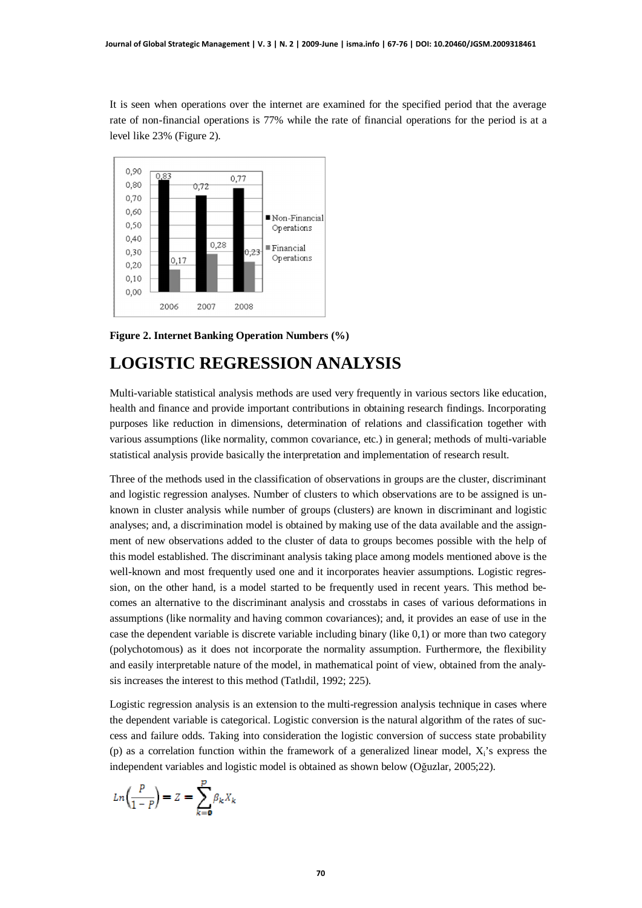It is seen when operations over the internet are examined for the specified period that the average rate of non-financial operations is 77% while the rate of financial operations for the period is at a level like 23% (Figure 2).



**Figure 2. Internet Banking Operation Numbers (%)**

#### **LOGISTIC REGRESSION ANALYSIS**

Multi-variable statistical analysis methods are used very frequently in various sectors like education, health and finance and provide important contributions in obtaining research findings. Incorporating purposes like reduction in dimensions, determination of relations and classification together with various assumptions (like normality, common covariance, etc.) in general; methods of multi-variable statistical analysis provide basically the interpretation and implementation of research result.

Three of the methods used in the classification of observations in groups are the cluster, discriminant and logistic regression analyses. Number of clusters to which observations are to be assigned is unknown in cluster analysis while number of groups (clusters) are known in discriminant and logistic analyses; and, a discrimination model is obtained by making use of the data available and the assignment of new observations added to the cluster of data to groups becomes possible with the help of this model established. The discriminant analysis taking place among models mentioned above is the well-known and most frequently used one and it incorporates heavier assumptions. Logistic regression, on the other hand, is a model started to be frequently used in recent years. This method becomes an alternative to the discriminant analysis and crosstabs in cases of various deformations in assumptions (like normality and having common covariances); and, it provides an ease of use in the case the dependent variable is discrete variable including binary (like 0,1) or more than two category (polychotomous) as it does not incorporate the normality assumption. Furthermore, the flexibility and easily interpretable nature of the model, in mathematical point of view, obtained from the analysis increases the interest to this method (Tatlıdil, 1992; 225).

Logistic regression analysis is an extension to the multi-regression analysis technique in cases where the dependent variable is categorical. Logistic conversion is the natural algorithm of the rates of success and failure odds. Taking into consideration the logistic conversion of success state probability (p) as a correlation function within the framework of a generalized linear model,  $X_i$ 's express the independent variables and logistic model is obtained as shown below (Oğuzlar, 2005;22).

$$
Ln\left(\frac{P}{1-P}\right) = Z = \sum_{k=0}^{P} \beta_k X_k
$$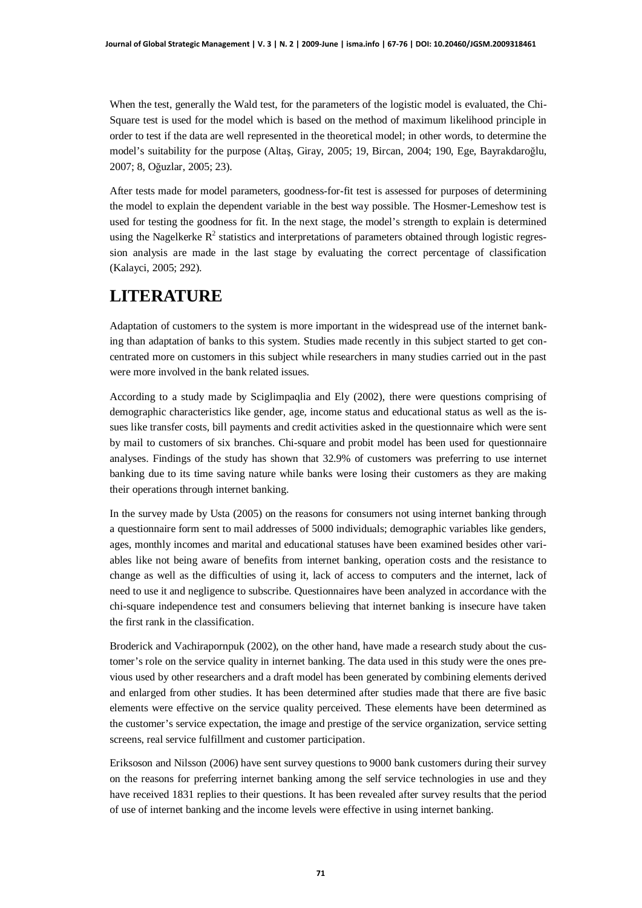When the test, generally the Wald test, for the parameters of the logistic model is evaluated, the Chi-Square test is used for the model which is based on the method of maximum likelihood principle in order to test if the data are well represented in the theoretical model; in other words, to determine the model's suitability for the purpose (Altas, Giray, 2005; 19, Bircan, 2004; 190, Ege, Bayrakdaroğlu, 2007; 8, Oğuzlar, 2005; 23).

After tests made for model parameters, goodness-for-fit test is assessed for purposes of determining the model to explain the dependent variable in the best way possible. The Hosmer-Lemeshow test is used for testing the goodness for fit. In the next stage, the model's strength to explain is determined using the Nagelkerke  $\mathbb{R}^2$  statistics and interpretations of parameters obtained through logistic regression analysis are made in the last stage by evaluating the correct percentage of classification (Kalayci, 2005; 292).

## **LITERATURE**

Adaptation of customers to the system is more important in the widespread use of the internet banking than adaptation of banks to this system. Studies made recently in this subject started to get concentrated more on customers in this subject while researchers in many studies carried out in the past were more involved in the bank related issues.

According to a study made by Sciglimpaqlia and Ely (2002), there were questions comprising of demographic characteristics like gender, age, income status and educational status as well as the issues like transfer costs, bill payments and credit activities asked in the questionnaire which were sent by mail to customers of six branches. Chi-square and probit model has been used for questionnaire analyses. Findings of the study has shown that 32.9% of customers was preferring to use internet banking due to its time saving nature while banks were losing their customers as they are making their operations through internet banking.

In the survey made by Usta (2005) on the reasons for consumers not using internet banking through a questionnaire form sent to mail addresses of 5000 individuals; demographic variables like genders, ages, monthly incomes and marital and educational statuses have been examined besides other variables like not being aware of benefits from internet banking, operation costs and the resistance to change as well as the difficulties of using it, lack of access to computers and the internet, lack of need to use it and negligence to subscribe. Questionnaires have been analyzed in accordance with the chi-square independence test and consumers believing that internet banking is insecure have taken the first rank in the classification.

Broderick and Vachirapornpuk (2002), on the other hand, have made a research study about the customer's role on the service quality in internet banking. The data used in this study were the ones previous used by other researchers and a draft model has been generated by combining elements derived and enlarged from other studies. It has been determined after studies made that there are five basic elements were effective on the service quality perceived. These elements have been determined as the customer's service expectation, the image and prestige of the service organization, service setting screens, real service fulfillment and customer participation.

Eriksoson and Nilsson (2006) have sent survey questions to 9000 bank customers during their survey on the reasons for preferring internet banking among the self service technologies in use and they have received 1831 replies to their questions. It has been revealed after survey results that the period of use of internet banking and the income levels were effective in using internet banking.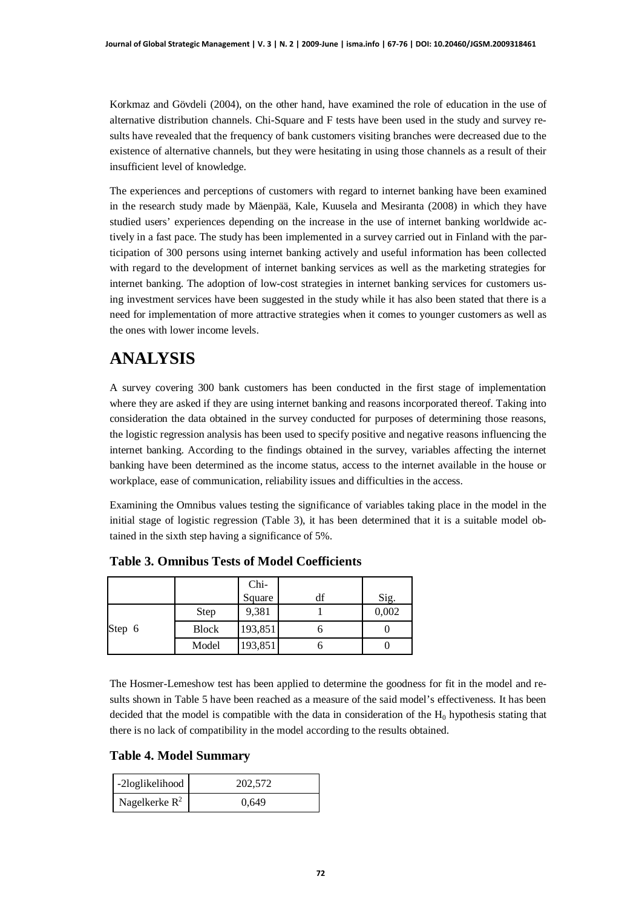Korkmaz and Gövdeli (2004), on the other hand, have examined the role of education in the use of alternative distribution channels. Chi-Square and F tests have been used in the study and survey results have revealed that the frequency of bank customers visiting branches were decreased due to the existence of alternative channels, but they were hesitating in using those channels as a result of their insufficient level of knowledge.

The experiences and perceptions of customers with regard to internet banking have been examined in the research study made by Mäenpää, Kale, Kuusela and Mesiranta (2008) in which they have studied users' experiences depending on the increase in the use of internet banking worldwide actively in a fast pace. The study has been implemented in a survey carried out in Finland with the participation of 300 persons using internet banking actively and useful information has been collected with regard to the development of internet banking services as well as the marketing strategies for internet banking. The adoption of low-cost strategies in internet banking services for customers using investment services have been suggested in the study while it has also been stated that there is a need for implementation of more attractive strategies when it comes to younger customers as well as the ones with lower income levels.

# **ANALYSIS**

A survey covering 300 bank customers has been conducted in the first stage of implementation where they are asked if they are using internet banking and reasons incorporated thereof. Taking into consideration the data obtained in the survey conducted for purposes of determining those reasons, the logistic regression analysis has been used to specify positive and negative reasons influencing the internet banking. According to the findings obtained in the survey, variables affecting the internet banking have been determined as the income status, access to the internet available in the house or workplace, ease of communication, reliability issues and difficulties in the access.

Examining the Omnibus values testing the significance of variables taking place in the model in the initial stage of logistic regression (Table 3), it has been determined that it is a suitable model obtained in the sixth step having a significance of 5%.

|        |              | Chi-    |       |
|--------|--------------|---------|-------|
|        |              | Square  | Sig.  |
|        | Step         | 9,381   | 0,002 |
| Step 6 | <b>Block</b> | 193,851 |       |
|        | Model        | 193,851 |       |

**Table 3. Omnibus Tests of Model Coefficients**

The Hosmer-Lemeshow test has been applied to determine the goodness for fit in the model and results shown in Table 5 have been reached as a measure of the said model's effectiveness. It has been decided that the model is compatible with the data in consideration of the  $H_0$  hypothesis stating that there is no lack of compatibility in the model according to the results obtained.

#### **Table 4. Model Summary**

| -2loglikelihood  | 202.572 |  |  |
|------------------|---------|--|--|
| Nagelkerke $R^2$ | 0.649   |  |  |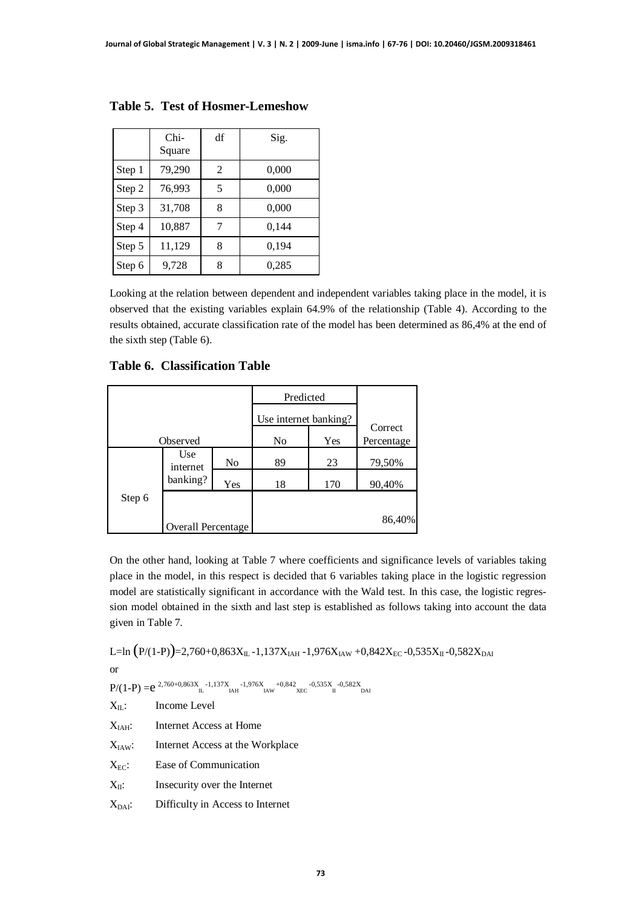|        | Chi-<br>Square | df | Sig.  |
|--------|----------------|----|-------|
| Step 1 | 79,290         | 2  | 0,000 |
| Step 2 | 76,993         | 5  | 0,000 |
| Step 3 | 31,708         | 8  | 0,000 |
| Step 4 | 10,887         | 7  | 0,144 |
| Step 5 | 11,129         | 8  | 0,194 |
| Step 6 | 9,728          | Ջ  | 0,285 |

**Table 5. Test of Hosmer-Lemeshow**

Looking at the relation between dependent and independent variables taking place in the model, it is observed that the existing variables explain 64.9% of the relationship (Table 4). According to the results obtained, accurate classification rate of the model has been determined as 86,4% at the end of the sixth step (Table 6).

**Table 6. Classification Table**

|          |                    |     | Predicted             |     |            |
|----------|--------------------|-----|-----------------------|-----|------------|
|          |                    |     | Use internet banking? |     | Correct    |
| Observed |                    |     | No                    | Yes | Percentage |
|          | Use<br>internet    | No  | 89                    | 23  | 79,50%     |
|          | banking?           | Yes | 18                    | 170 | 90,40%     |
| Step 6   |                    |     |                       |     |            |
|          | Overall Percentage |     |                       |     | 86,40%     |

On the other hand, looking at Table 7 where coefficients and significance levels of variables taking place in the model, in this respect is decided that 6 variables taking place in the logistic regression model are statistically significant in accordance with the Wald test. In this case, the logistic regression model obtained in the sixth and last step is established as follows taking into account the data given in Table 7.

L=ln  $(P/(1-P))$ =2,760+0,863X<sub>IL</sub> -1,137X<sub>IAH</sub> -1,976X<sub>IAW</sub> +0,842X<sub>EC</sub> -0,535X<sub>II</sub> -0,582X<sub>DAI</sub>

or

 $P/(1-P) = e^{2,760+0,863X}$  -1,137X -1,976X +0,842 -0,535X -0,582X<br>IAH IAW XEC II DAI

| $X_{II}$ :         | Income Level                     |
|--------------------|----------------------------------|
| $X_{IAH}$ :        | Internet Access at Home          |
| $X_{IAW}$ :        | Internet Access at the Workplace |
| $X_{EC}$ :         | Ease of Communication            |
| $X_{II}$ :         | Insecurity over the Internet     |
| X <sub>DAI</sub> : | Difficulty in Access to Internet |
|                    |                                  |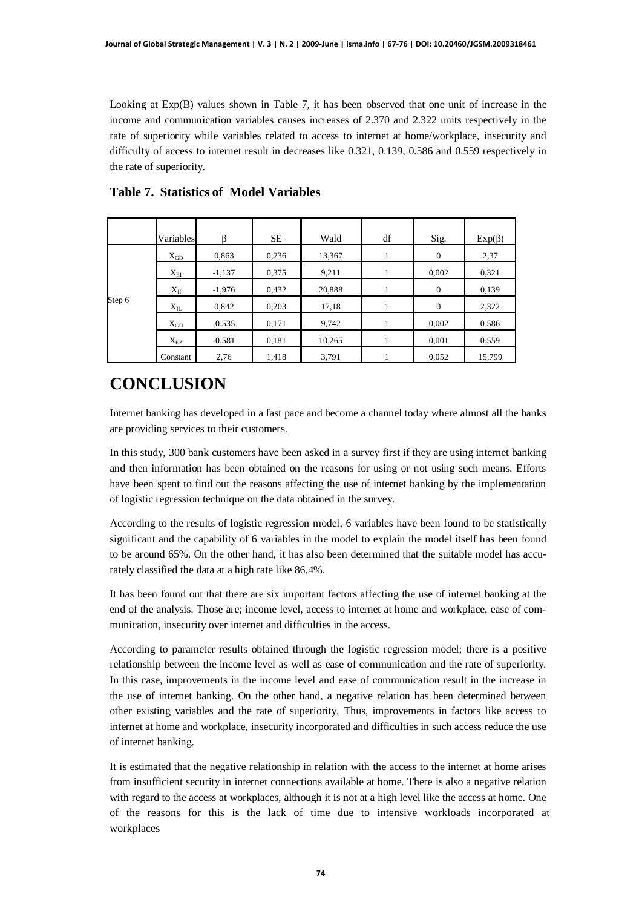Looking at Exp(B) values shown in Table 7, it has been observed that one unit of increase in the income and communication variables causes increases of 2.370 and 2.322 units respectively in the rate of superiority while variables related to access to internet at home/workplace, insecurity and difficulty of access to internet result in decreases like 0.321, 0.139, 0.586 and 0.559 respectively in the rate of superiority.

|        | Variables      | R        | <b>SE</b> | Wald   | df | Sig.           | $Exp(\beta)$ |
|--------|----------------|----------|-----------|--------|----|----------------|--------------|
| Step 6 | $X_{GD}$       | 0,863    | 0,236     | 13,367 |    | $\overline{0}$ | 2,37         |
|        | $X_{E1}$       | $-1,137$ | 0,375     | 9,211  |    | 0,002          | 0,321        |
|        | $X_{II}$       | $-1,976$ | 0,432     | 20,888 |    | $\overline{0}$ | 0,139        |
|        | $\rm X_{1L}$   | 0,842    | 0,203     | 17,18  |    | $\overline{0}$ | 2,322        |
|        | $X_{G\hat{U}}$ | $-0.535$ | 0,171     | 9,742  |    | 0,002          | 0,586        |
|        | $X_{EZ}$       | $-0,581$ | 0,181     | 10,265 |    | 0,001          | 0,559        |
|        | Constant       | 2,76     | 1,418     | 3,791  |    | 0,052          | 15,799       |

#### **Table 7. Statistics of Model Variables**

# **CONCLUSION**

Internet banking has developed in a fast pace and become a channel today where almost all the banks are providing services to their customers.

In this study, 300 bank customers have been asked in a survey first if they are using internet banking and then information has been obtained on the reasons for using or not using such means. Efforts have been spent to find out the reasons affecting the use of internet banking by the implementation of logistic regression technique on the data obtained in the survey.

According to the results of logistic regression model, 6 variables have been found to be statistically significant and the capability of 6 variables in the model to explain the model itself has been found to be around 65%. On the other hand, it has also been determined that the suitable model has accurately classified the data at a high rate like 86,4%.

It has been found out that there are six important factors affecting the use of internet banking at the end of the analysis. Those are; income level, access to internet at home and workplace, ease of communication, insecurity over internet and difficulties in the access.

According to parameter results obtained through the logistic regression model; there is a positive relationship between the income level as well as ease of communication and the rate of superiority. In this case, improvements in the income level and ease of communication result in the increase in the use of internet banking. On the other hand, a negative relation has been determined between other existing variables and the rate of superiority. Thus, improvements in factors like access to internet at home and workplace, insecurity incorporated and difficulties in such access reduce the use of internet banking.

It is estimated that the negative relationship in relation with the access to the internet at home arises from insufficient security in internet connections available at home. There is also a negative relation with regard to the access at workplaces, although it is not at a high level like the access at home. One of the reasons for this is the lack of time due to intensive workloads incorporated at workplaces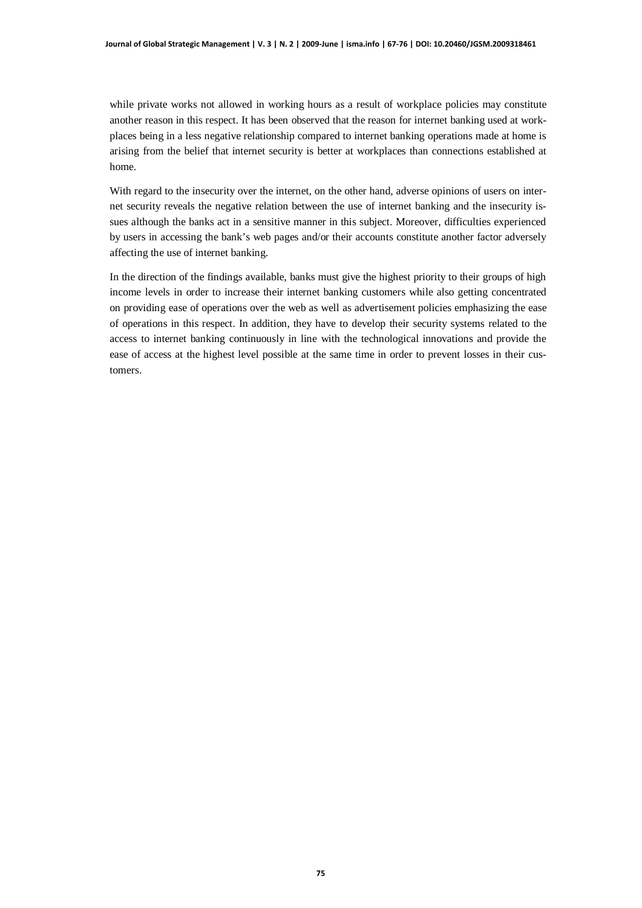while private works not allowed in working hours as a result of workplace policies may constitute another reason in this respect. It has been observed that the reason for internet banking used at workplaces being in a less negative relationship compared to internet banking operations made at home is arising from the belief that internet security is better at workplaces than connections established at home.

With regard to the insecurity over the internet, on the other hand, adverse opinions of users on internet security reveals the negative relation between the use of internet banking and the insecurity issues although the banks act in a sensitive manner in this subject. Moreover, difficulties experienced by users in accessing the bank's web pages and/or their accounts constitute another factor adversely affecting the use of internet banking.

In the direction of the findings available, banks must give the highest priority to their groups of high income levels in order to increase their internet banking customers while also getting concentrated on providing ease of operations over the web as well as advertisement policies emphasizing the ease of operations in this respect. In addition, they have to develop their security systems related to the access to internet banking continuously in line with the technological innovations and provide the ease of access at the highest level possible at the same time in order to prevent losses in their customers.